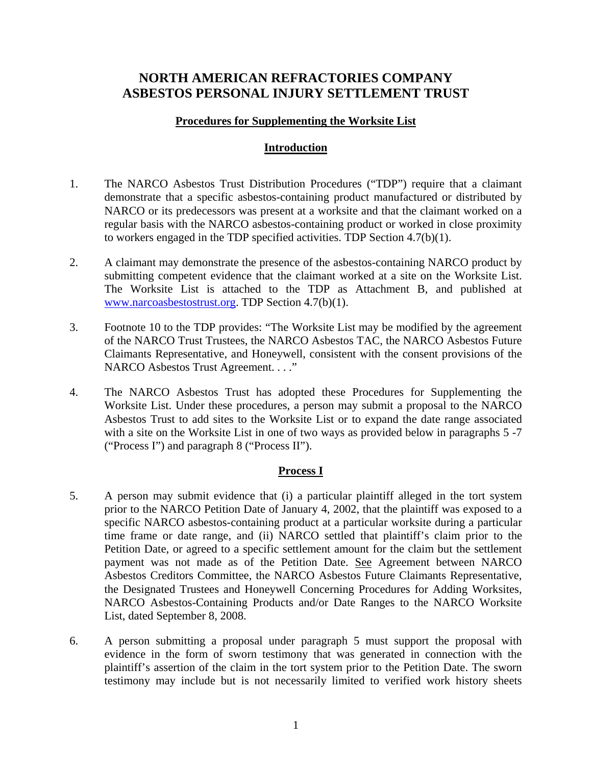# **NORTH AMERICAN REFRACTORIES COMPANY ASBESTOS PERSONAL INJURY SETTLEMENT TRUST**

### **Procedures for Supplementing the Worksite List**

## **Introduction**

- 1. The NARCO Asbestos Trust Distribution Procedures ("TDP") require that a claimant demonstrate that a specific asbestos-containing product manufactured or distributed by NARCO or its predecessors was present at a worksite and that the claimant worked on a regular basis with the NARCO asbestos-containing product or worked in close proximity to workers engaged in the TDP specified activities. TDP Section 4.7(b)(1).
- 2. A claimant may demonstrate the presence of the asbestos-containing NARCO product by submitting competent evidence that the claimant worked at a site on the Worksite List. The Worksite List is attached to the TDP as Attachment B, and published at www.narcoasbestostrust.org. TDP Section 4.7(b)(1).
- 3. Footnote 10 to the TDP provides: "The Worksite List may be modified by the agreement of the NARCO Trust Trustees, the NARCO Asbestos TAC, the NARCO Asbestos Future Claimants Representative, and Honeywell, consistent with the consent provisions of the NARCO Asbestos Trust Agreement. . . ."
- 4. The NARCO Asbestos Trust has adopted these Procedures for Supplementing the Worksite List. Under these procedures, a person may submit a proposal to the NARCO Asbestos Trust to add sites to the Worksite List or to expand the date range associated with a site on the Worksite List in one of two ways as provided below in paragraphs 5-7 ("Process I") and paragraph 8 ("Process II").

#### **Process I**

- 5. A person may submit evidence that (i) a particular plaintiff alleged in the tort system prior to the NARCO Petition Date of January 4, 2002, that the plaintiff was exposed to a specific NARCO asbestos-containing product at a particular worksite during a particular time frame or date range, and (ii) NARCO settled that plaintiff's claim prior to the Petition Date, or agreed to a specific settlement amount for the claim but the settlement payment was not made as of the Petition Date. See Agreement between NARCO Asbestos Creditors Committee, the NARCO Asbestos Future Claimants Representative, the Designated Trustees and Honeywell Concerning Procedures for Adding Worksites, NARCO Asbestos-Containing Products and/or Date Ranges to the NARCO Worksite List, dated September 8, 2008.
- 6. A person submitting a proposal under paragraph 5 must support the proposal with evidence in the form of sworn testimony that was generated in connection with the plaintiff's assertion of the claim in the tort system prior to the Petition Date. The sworn testimony may include but is not necessarily limited to verified work history sheets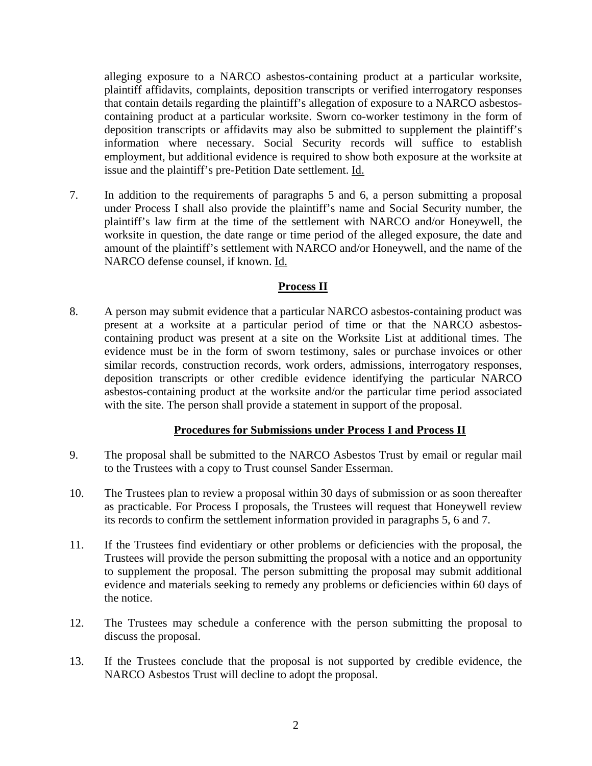alleging exposure to a NARCO asbestos-containing product at a particular worksite, plaintiff affidavits, complaints, deposition transcripts or verified interrogatory responses that contain details regarding the plaintiff's allegation of exposure to a NARCO asbestoscontaining product at a particular worksite. Sworn co-worker testimony in the form of deposition transcripts or affidavits may also be submitted to supplement the plaintiff's information where necessary. Social Security records will suffice to establish employment, but additional evidence is required to show both exposure at the worksite at issue and the plaintiff's pre-Petition Date settlement. Id.

7. In addition to the requirements of paragraphs 5 and 6, a person submitting a proposal under Process I shall also provide the plaintiff's name and Social Security number, the plaintiff's law firm at the time of the settlement with NARCO and/or Honeywell, the worksite in question, the date range or time period of the alleged exposure, the date and amount of the plaintiff's settlement with NARCO and/or Honeywell, and the name of the NARCO defense counsel, if known. Id.

# **Process II**

8. A person may submit evidence that a particular NARCO asbestos-containing product was present at a worksite at a particular period of time or that the NARCO asbestoscontaining product was present at a site on the Worksite List at additional times. The evidence must be in the form of sworn testimony, sales or purchase invoices or other similar records, construction records, work orders, admissions, interrogatory responses, deposition transcripts or other credible evidence identifying the particular NARCO asbestos-containing product at the worksite and/or the particular time period associated with the site. The person shall provide a statement in support of the proposal.

# **Procedures for Submissions under Process I and Process II**

- 9. The proposal shall be submitted to the NARCO Asbestos Trust by email or regular mail to the Trustees with a copy to Trust counsel Sander Esserman.
- 10. The Trustees plan to review a proposal within 30 days of submission or as soon thereafter as practicable. For Process I proposals, the Trustees will request that Honeywell review its records to confirm the settlement information provided in paragraphs 5, 6 and 7.
- 11. If the Trustees find evidentiary or other problems or deficiencies with the proposal, the Trustees will provide the person submitting the proposal with a notice and an opportunity to supplement the proposal. The person submitting the proposal may submit additional evidence and materials seeking to remedy any problems or deficiencies within 60 days of the notice.
- 12. The Trustees may schedule a conference with the person submitting the proposal to discuss the proposal.
- 13. If the Trustees conclude that the proposal is not supported by credible evidence, the NARCO Asbestos Trust will decline to adopt the proposal.